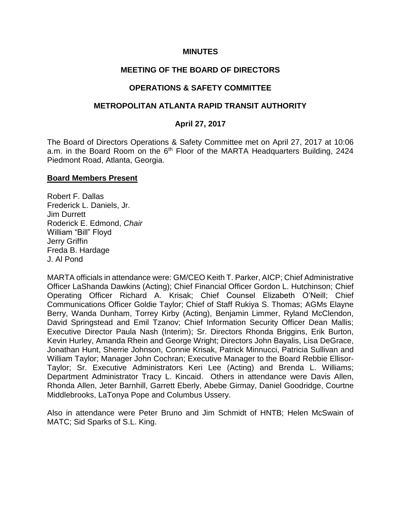#### **MINUTES**

## **MEETING OF THE BOARD OF DIRECTORS**

### **OPERATIONS & SAFETY COMMITTEE**

#### **METROPOLITAN ATLANTA RAPID TRANSIT AUTHORITY**

### **April 27, 2017**

The Board of Directors Operations & Safety Committee met on April 27, 2017 at 10:06 a.m. in the Board Room on the  $6<sup>th</sup>$  Floor of the MARTA Headquarters Building, 2424 Piedmont Road, Atlanta, Georgia.

#### **Board Members Present**

Robert F. Dallas Frederick L. Daniels, Jr. Jim Durrett Roderick E. Edmond, *Chair*  William "Bill" Floyd Jerry Griffin Freda B. Hardage J. Al Pond

MARTA officials in attendance were: GM/CEO Keith T. Parker, AICP; Chief Administrative Officer LaShanda Dawkins (Acting); Chief Financial Officer Gordon L. Hutchinson; Chief Operating Officer Richard A. Krisak; Chief Counsel Elizabeth O'Neill; Chief Communications Officer Goldie Taylor; Chief of Staff Rukiya S. Thomas; AGMs Elayne Berry, Wanda Dunham, Torrey Kirby (Acting), Benjamin Limmer, Ryland McClendon, David Springstead and Emil Tzanov; Chief Information Security Officer Dean Mallis; Executive Director Paula Nash (Interim); Sr. Directors Rhonda Briggins, Erik Burton, Kevin Hurley, Amanda Rhein and George Wright; Directors John Bayalis, Lisa DeGrace, Jonathan Hunt, Sherrie Johnson, Connie Krisak, Patrick Minnucci, Patricia Sullivan and William Taylor; Manager John Cochran; Executive Manager to the Board Rebbie Ellisor-Taylor; Sr. Executive Administrators Keri Lee (Acting) and Brenda L. Williams; Department Administrator Tracy L. Kincaid. Others in attendance were Davis Allen, Rhonda Allen, Jeter Barnhill, Garrett Eberly, Abebe Girmay, Daniel Goodridge, Courtne Middlebrooks, LaTonya Pope and Columbus Ussery.

Also in attendance were Peter Bruno and Jim Schmidt of HNTB; Helen McSwain of MATC; Sid Sparks of S.L. King.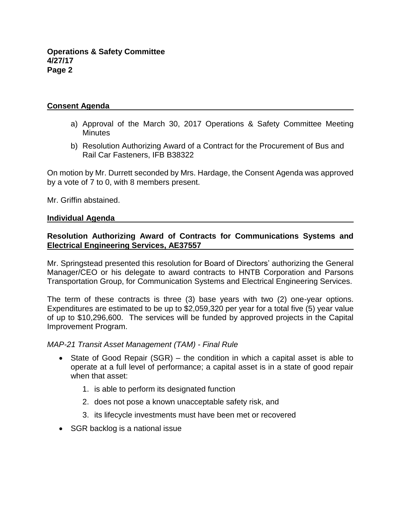# **Consent Agenda**

- a) Approval of the March 30, 2017 Operations & Safety Committee Meeting **Minutes**
- b) Resolution Authorizing Award of a Contract for the Procurement of Bus and Rail Car Fasteners, IFB B38322

On motion by Mr. Durrett seconded by Mrs. Hardage, the Consent Agenda was approved by a vote of 7 to 0, with 8 members present.

Mr. Griffin abstained.

### **Individual Agenda**

## **Resolution Authorizing Award of Contracts for Communications Systems and Electrical Engineering Services, AE37557**

Mr. Springstead presented this resolution for Board of Directors' authorizing the General Manager/CEO or his delegate to award contracts to HNTB Corporation and Parsons Transportation Group, for Communication Systems and Electrical Engineering Services.

The term of these contracts is three (3) base years with two (2) one-year options. Expenditures are estimated to be up to \$2,059,320 per year for a total five (5) year value of up to \$10,296,600. The services will be funded by approved projects in the Capital Improvement Program.

#### *MAP-21 Transit Asset Management (TAM) - Final Rule*

- State of Good Repair (SGR) the condition in which a capital asset is able to operate at a full level of performance; a capital asset is in a state of good repair when that asset:
	- 1. is able to perform its designated function
	- 2. does not pose a known unacceptable safety risk, and
	- 3. its lifecycle investments must have been met or recovered
- SGR backlog is a national issue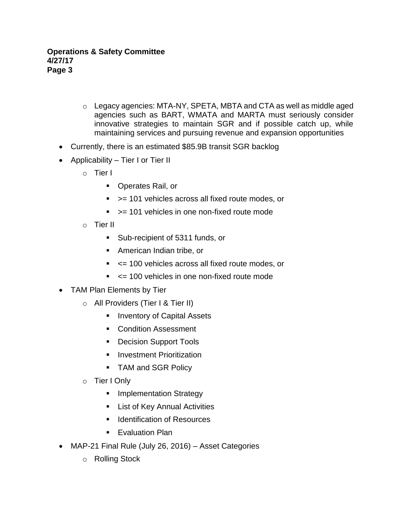- o Legacy agencies: MTA-NY, SPETA, MBTA and CTA as well as middle aged agencies such as BART, WMATA and MARTA must seriously consider innovative strategies to maintain SGR and if possible catch up, while maintaining services and pursuing revenue and expansion opportunities
- Currently, there is an estimated \$85.9B transit SGR backlog
- Applicability Tier I or Tier II
	- o Tier I
		- Operates Rail, or
		- > = 101 vehicles across all fixed route modes, or
		- > = 101 vehicles in one non-fixed route mode
	- o Tier II
		- Sub-recipient of 5311 funds, or
		- American Indian tribe, or
		- <= 100 vehicles across all fixed route modes, or
		- $\le$   $\le$  100 vehicles in one non-fixed route mode
- TAM Plan Elements by Tier
	- o All Providers (Tier I & Tier II)
		- Inventory of Capital Assets
		- Condition Assessment
		- Decision Support Tools
		- **Investment Prioritization**
		- TAM and SGR Policy
	- o Tier I Only
		- Implementation Strategy
		- List of Key Annual Activities
		- Identification of Resources
		- Evaluation Plan
- MAP-21 Final Rule (July 26, 2016) Asset Categories
	- o Rolling Stock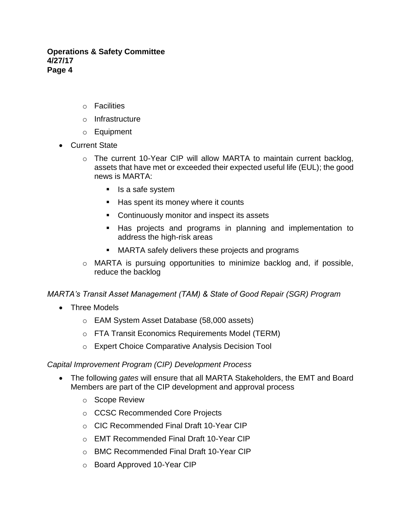### **Operations & Safety Committee 4/27/17 Page 4**

- o Facilities
- o Infrastructure
- o Equipment
- Current State
	- o The current 10-Year CIP will allow MARTA to maintain current backlog, assets that have met or exceeded their expected useful life (EUL); the good news is MARTA:
		- Is a safe system
		- Has spent its money where it counts
		- Continuously monitor and inspect its assets
		- Has projects and programs in planning and implementation to address the high-risk areas
		- MARTA safely delivers these projects and programs
	- o MARTA is pursuing opportunities to minimize backlog and, if possible, reduce the backlog

## *MARTA's Transit Asset Management (TAM) & State of Good Repair (SGR) Program*

- Three Models
	- o EAM System Asset Database (58,000 assets)
	- o FTA Transit Economics Requirements Model (TERM)
	- o Expert Choice Comparative Analysis Decision Tool

#### *Capital Improvement Program (CIP) Development Process*

- The following *gates* will ensure that all MARTA Stakeholders, the EMT and Board Members are part of the CIP development and approval process
	- o Scope Review
	- o CCSC Recommended Core Projects
	- o CIC Recommended Final Draft 10-Year CIP
	- o EMT Recommended Final Draft 10-Year CIP
	- o BMC Recommended Final Draft 10-Year CIP
	- o Board Approved 10-Year CIP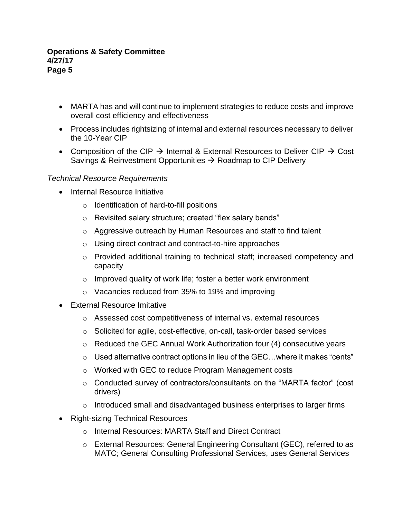### **Operations & Safety Committee 4/27/17 Page 5**

- MARTA has and will continue to implement strategies to reduce costs and improve overall cost efficiency and effectiveness
- Process includes rightsizing of internal and external resources necessary to deliver the 10-Year CIP
- Composition of the CIP  $\rightarrow$  Internal & External Resources to Deliver CIP  $\rightarrow$  Cost Savings & Reinvestment Opportunities  $\rightarrow$  Roadmap to CIP Delivery

# *Technical Resource Requirements*

- Internal Resource Initiative
	- o Identification of hard-to-fill positions
	- o Revisited salary structure; created "flex salary bands"
	- o Aggressive outreach by Human Resources and staff to find talent
	- o Using direct contract and contract-to-hire approaches
	- o Provided additional training to technical staff; increased competency and capacity
	- $\circ$  Improved quality of work life; foster a better work environment
	- o Vacancies reduced from 35% to 19% and improving
- External Resource Imitative
	- o Assessed cost competitiveness of internal vs. external resources
	- o Solicited for agile, cost-effective, on-call, task-order based services
	- o Reduced the GEC Annual Work Authorization four (4) consecutive years
	- $\circ$  Used alternative contract options in lieu of the GEC... where it makes "cents"
	- o Worked with GEC to reduce Program Management costs
	- o Conducted survey of contractors/consultants on the "MARTA factor" (cost drivers)
	- o Introduced small and disadvantaged business enterprises to larger firms
- Right-sizing Technical Resources
	- o Internal Resources: MARTA Staff and Direct Contract
	- o External Resources: General Engineering Consultant (GEC), referred to as MATC; General Consulting Professional Services, uses General Services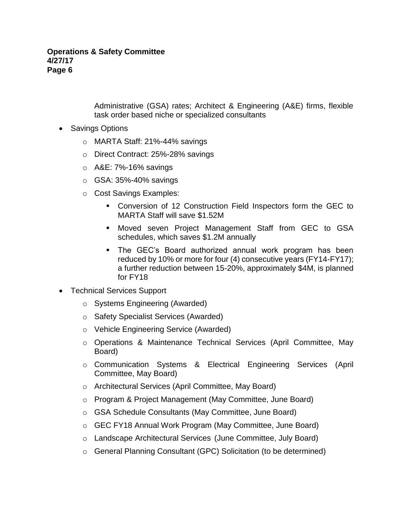### **Operations & Safety Committee 4/27/17 Page 6**

Administrative (GSA) rates; Architect & Engineering (A&E) firms, flexible task order based niche or specialized consultants

- Savings Options
	- o MARTA Staff: 21%-44% savings
	- o Direct Contract: 25%-28% savings
	- $\circ$  A&E: 7%-16% savings
	- $\circ$  GSA: 35%-40% savings
	- o Cost Savings Examples:
		- Conversion of 12 Construction Field Inspectors form the GEC to MARTA Staff will save \$1.52M
		- Moved seven Project Management Staff from GEC to GSA schedules, which saves \$1.2M annually
		- The GEC's Board authorized annual work program has been reduced by 10% or more for four (4) consecutive years (FY14-FY17); a further reduction between 15-20%, approximately \$4M, is planned for FY18
- Technical Services Support
	- o Systems Engineering (Awarded)
	- o Safety Specialist Services (Awarded)
	- o Vehicle Engineering Service (Awarded)
	- o Operations & Maintenance Technical Services (April Committee, May Board)
	- o Communication Systems & Electrical Engineering Services (April Committee, May Board)
	- o Architectural Services (April Committee, May Board)
	- o Program & Project Management (May Committee, June Board)
	- o GSA Schedule Consultants (May Committee, June Board)
	- o GEC FY18 Annual Work Program (May Committee, June Board)
	- o Landscape Architectural Services (June Committee, July Board)
	- o General Planning Consultant (GPC) Solicitation (to be determined)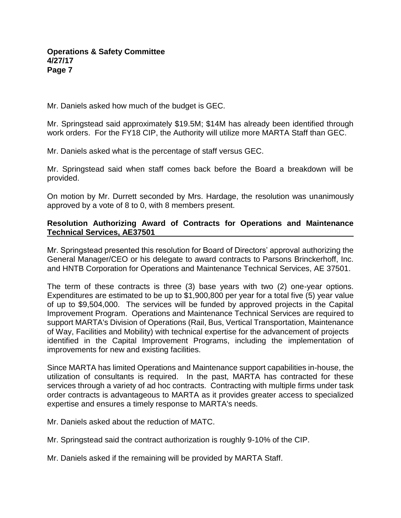Mr. Daniels asked how much of the budget is GEC.

Mr. Springstead said approximately \$19.5M; \$14M has already been identified through work orders. For the FY18 CIP, the Authority will utilize more MARTA Staff than GEC.

Mr. Daniels asked what is the percentage of staff versus GEC.

Mr. Springstead said when staff comes back before the Board a breakdown will be provided.

On motion by Mr. Durrett seconded by Mrs. Hardage, the resolution was unanimously approved by a vote of 8 to 0, with 8 members present.

## **Resolution Authorizing Award of Contracts for Operations and Maintenance Technical Services, AE37501**

Mr. Springstead presented this resolution for Board of Directors' approval authorizing the General Manager/CEO or his delegate to award contracts to Parsons Brinckerhoff, Inc. and HNTB Corporation for Operations and Maintenance Technical Services, AE 37501.

The term of these contracts is three (3) base years with two (2) one-year options. Expenditures are estimated to be up to \$1,900,800 per year for a total five (5) year value of up to \$9,504,000. The services will be funded by approved projects in the Capital Improvement Program. Operations and Maintenance Technical Services are required to support MARTA's Division of Operations (Rail, Bus, Vertical Transportation, Maintenance of Way, Facilities and Mobility) with technical expertise for the advancement of projects identified in the Capital Improvement Programs, including the implementation of improvements for new and existing facilities.

Since MARTA has limited Operations and Maintenance support capabilities in-house, the utilization of consultants is required. In the past, MARTA has contracted for these services through a variety of ad hoc contracts. Contracting with multiple firms under task order contracts is advantageous to MARTA as it provides greater access to specialized expertise and ensures a timely response to MARTA's needs.

Mr. Daniels asked about the reduction of MATC.

Mr. Springstead said the contract authorization is roughly 9-10% of the CIP.

Mr. Daniels asked if the remaining will be provided by MARTA Staff.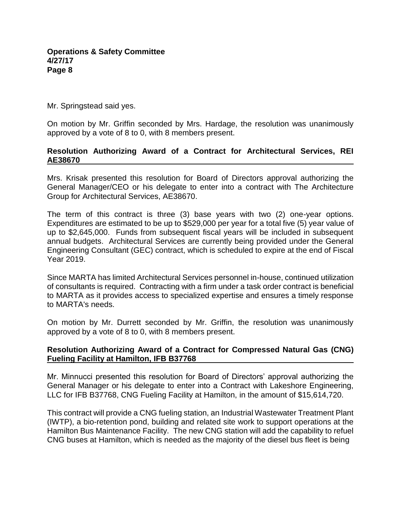Mr. Springstead said yes.

On motion by Mr. Griffin seconded by Mrs. Hardage, the resolution was unanimously approved by a vote of 8 to 0, with 8 members present.

## **Resolution Authorizing Award of a Contract for Architectural Services, REI AE38670**

Mrs. Krisak presented this resolution for Board of Directors approval authorizing the General Manager/CEO or his delegate to enter into a contract with The Architecture Group for Architectural Services, AE38670.

The term of this contract is three (3) base years with two (2) one-year options. Expenditures are estimated to be up to \$529,000 per year for a total five (5) year value of up to \$2,645,000. Funds from subsequent fiscal years will be included in subsequent annual budgets. Architectural Services are currently being provided under the General Engineering Consultant (GEC) contract, which is scheduled to expire at the end of Fiscal Year 2019.

Since MARTA has limited Architectural Services personnel in-house, continued utilization of consultants is required. Contracting with a firm under a task order contract is beneficial to MARTA as it provides access to specialized expertise and ensures a timely response to MARTA's needs.

On motion by Mr. Durrett seconded by Mr. Griffin, the resolution was unanimously approved by a vote of 8 to 0, with 8 members present.

## **Resolution Authorizing Award of a Contract for Compressed Natural Gas (CNG) Fueling Facility at Hamilton, IFB B37768**

Mr. Minnucci presented this resolution for Board of Directors' approval authorizing the General Manager or his delegate to enter into a Contract with Lakeshore Engineering, LLC for IFB B37768, CNG Fueling Facility at Hamilton, in the amount of \$15,614,720.

This contract will provide a CNG fueling station, an Industrial Wastewater Treatment Plant (IWTP), a bio-retention pond, building and related site work to support operations at the Hamilton Bus Maintenance Facility. The new CNG station will add the capability to refuel CNG buses at Hamilton, which is needed as the majority of the diesel bus fleet is being